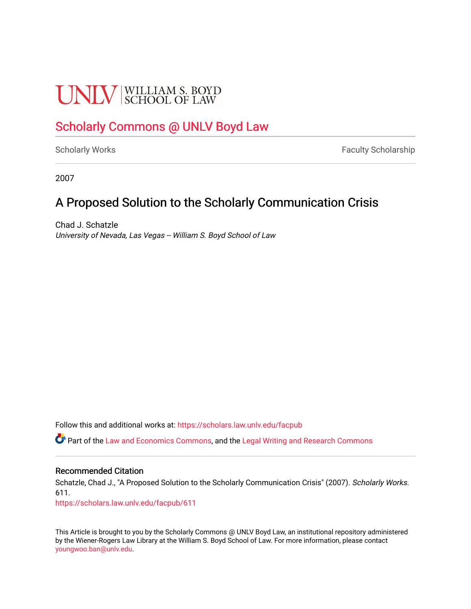# **UNIV** SCHOOL OF LAW

# [Scholarly Commons @ UNLV Boyd Law](https://scholars.law.unlv.edu/)

[Scholarly Works](https://scholars.law.unlv.edu/facpub) **Faculty Scholarship** Faculty Scholarship

2007

# A Proposed Solution to the Scholarly Communication Crisis

Chad J. Schatzle University of Nevada, Las Vegas -- William S. Boyd School of Law

Follow this and additional works at: [https://scholars.law.unlv.edu/facpub](https://scholars.law.unlv.edu/facpub?utm_source=scholars.law.unlv.edu%2Ffacpub%2F611&utm_medium=PDF&utm_campaign=PDFCoverPages)

**C** Part of the [Law and Economics Commons](http://network.bepress.com/hgg/discipline/612?utm_source=scholars.law.unlv.edu%2Ffacpub%2F611&utm_medium=PDF&utm_campaign=PDFCoverPages), and the Legal Writing and Research Commons

# Recommended Citation

Schatzle, Chad J., "A Proposed Solution to the Scholarly Communication Crisis" (2007). Scholarly Works. 611.

[https://scholars.law.unlv.edu/facpub/611](https://scholars.law.unlv.edu/facpub/611?utm_source=scholars.law.unlv.edu%2Ffacpub%2F611&utm_medium=PDF&utm_campaign=PDFCoverPages)

This Article is brought to you by the Scholarly Commons @ UNLV Boyd Law, an institutional repository administered by the Wiener-Rogers Law Library at the William S. Boyd School of Law. For more information, please contact [youngwoo.ban@unlv.edu.](mailto:youngwoo.ban@unlv.edu)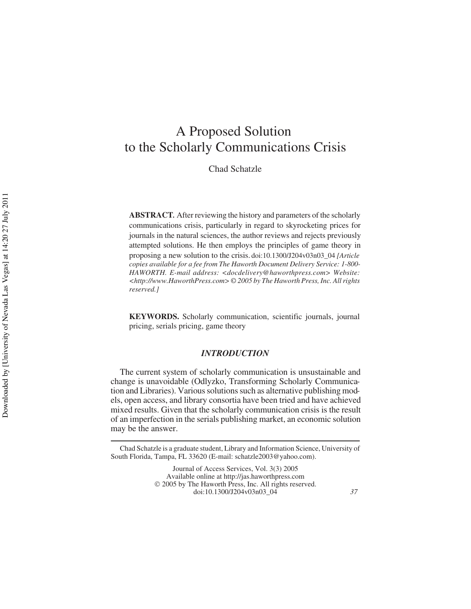# A Proposed Solution to the Scholarly Communications Crisis

Chad Schatzle

**ABSTRACT** *.* After reviewing the history and parameters of the scholarly communications crisis, particularly in regard to skyrocketing prices for journals in the natural sciences, the author reviews and rejects previously attempted solutions. He then employs the principles of game theory in proposing a new solution to the crisis. doi:10.1300/J204v03n03\_04 *[Article copies available for a fee from The Haworth Document Delivery Service: 1-800- HAWORTH. E-mail address: <docdelivery@haworthpress.com> Website: <http://www.HaworthPress.com> © 2005 by The Haworth Press, Inc. All rights reserved.]*

**KEYWORDS.** Scholarly communication, scientific journals, journal pricing, serials pricing, game theory

# *INTRODUCTION*

The current system of scholarly communication is unsustainable and change is unavoidable (Odlyzko, Transforming Scholarly Communication and Libraries). Various solutions such as alternative publishing models, open access, and library consortia have been tried and have achieved mixed results. Given that the scholarly communication crisis is the result of an imperfection in the serials publishing market, an economic solution may be the answer.

Chad Schatzle is a graduate student, Library and Information Science, University of South Florida, Tampa, FL 33620 (E-mail: schatzle2003@yahoo.com).

Journal of Access Services, Vol. 3(3) 2005 Available online at http://jas.haworthpress.com 2005 by The Haworth Press, Inc. All rights reserved. doi:10.1300/J204v03n03\_04 *37*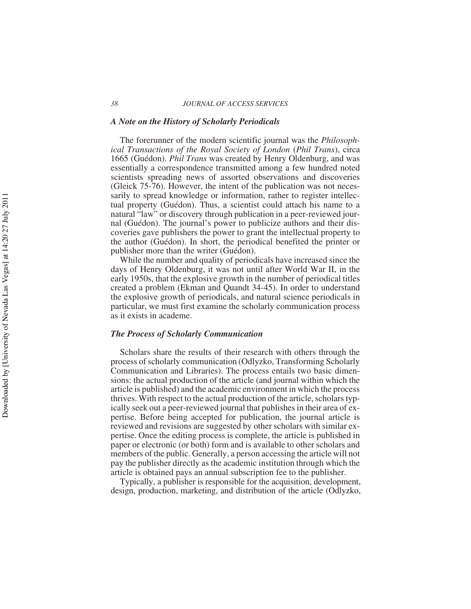# *A Note on the History of Scholarly Periodicals*

The forerunner of the modern scientific journal was the *Philosoph ical Transactions of the Royal Society of London* (*Phil Trans*), circa 1665 (Guédon). *Phil Trans* was created by Henry Oldenburg, and was essentially a correspondence transmitted among a few hundred noted scientists spreading news of assorted observations and discoveries (Gleick 75-76). However, the intent of the publication was not neces sarily to spread knowledge or information, rather to register intellectual property (Guédon). Thus, a scientist could attach his name to a natural "law" or discovery through publication in a peer-reviewed jour nal (Guédon). The journal's power to publicize authors and their dis coveries gave publishers the power to grant the intellectual property to the author (Guédon). In short, the periodical benefited the printer or publisher more than the writer (Guédon).

While the number and quality of periodicals have increased since the days of Henry Oldenburg, it was not until after World War II, in the early 1950s, that the explosive growth in the number of periodical titles created a problem (Ekman and Quandt 34-45). In order to understand the explosive growth of periodicals, and natural science periodicals in particular, we must first examine the scholarly communication process as it exists in academe.

# *The Process of Scholarly Communication*

Scholars share the results of their research with others through the process of scholarly communication (Odlyzko, Transforming Scholarly Communication and Libraries). The process entails two basic dimen sions: the actual production of the article (and journal within which the article is published) and the academic environment in which the process thrives. With respect to the actual production of the article, scholars typ ically seek out a peer-reviewed journal that publishes in their area of ex pertise. Before being accepted for publication, the journal article is reviewed and revisions are suggested by other scholars with similar ex pertise. Once the editing process is complete, the article is published in paper or electronic (or both) form and is available to other scholars and members of the public. Generally, a person accessing the article will not pay the publisher directly as the academic institution through which the article is obtained pays an annual subscription fee to the publisher.

Typically, a publisher is responsible for the acquisition, development, design, production, marketing, and distribution of the article (Odlyzko,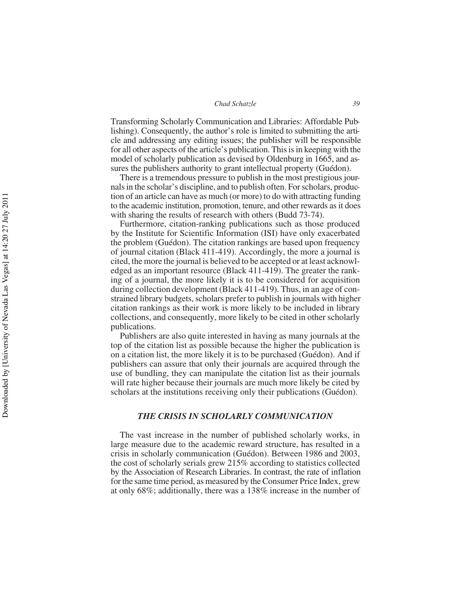Transforming Scholarly Communication and Libraries: Affordable Publishing). Consequently, the author's role is limited to submitting the article and addressing any editing issues; the publisher will be responsible for all other aspects of the article's publication. This is in keeping with the model of scholarly publication as devised by Oldenburg in 1665, and assures the publishers authority to grant intellectual property (Guédon).

There is a tremendous pressure to publish in the most prestigious journals in the scholar's discipline, and to publish often. For scholars, production of an article can have as much (or more) to do with attracting funding to the academic institution, promotion, tenure, and other rewards as it does with sharing the results of research with others (Budd 73-74).

Furthermore, citation-ranking publications such as those produced by the Institute for Scientific Information (ISI) have only exacerbated the problem (Guédon). The citation rankings are based upon frequency of journal citation (Black 411-419). Accordingly, the more a journal is cited, the more the journal is believed to be accepted or at least acknowledged as an important resource (Black 411-419). The greater the ranking of a journal, the more likely it is to be considered for acquisition during collection development (Black 411-419). Thus, in an age of constrained library budgets, scholars prefer to publish in journals with higher citation rankings as their work is more likely to be included in library collections, and consequently, more likely to be cited in other scholarly publications.

Publishers are also quite interested in having as many journals at the top of the citation list as possible because the higher the publication is on a citation list, the more likely it is to be purchased (Guédon). And if publishers can assure that only their journals are acquired through the use of bundling, they can manipulate the citation list as their journals will rate higher because their journals are much more likely be cited by scholars at the institutions receiving only their publications (Guédon).

# *THE CRISIS IN SCHOLARLY COMMUNICATION*

The vast increase in the number of published scholarly works, in large measure due to the academic reward structure, has resulted in a crisis in scholarly communication (Guédon). Between 1986 and 2003, the cost of scholarly serials grew 215% according to statistics collected by the Association of Research Libraries. In contrast, the rate of inflation for the same time period, as measured by the Consumer Price Index, grew at only 68%; additionally, there was a 138% increase in the number of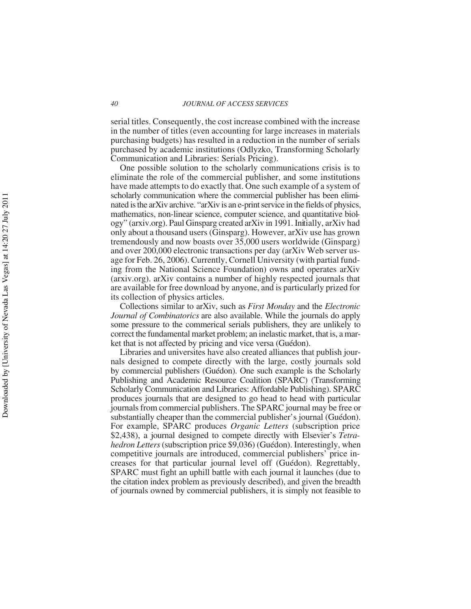serial titles. Consequently, the cost increase combined with the increase in the number of titles (even accounting for large increases in materials purchasing budgets) has resulted in a reduction in the number of serials purchased by academic institutions (Odlyzko, Transforming Scholarly Communication and Libraries: Serials Pricing).

One possible solution to the scholarly communications crisis is to eliminate the role of the commercial publisher, and some institutions have made attempts to do exactly that. One such example of a system of scholarly communication where the commercial publisher has been eliminated is the arXiv archive. "arXiv is an e-print service in the fields of physics, mathematics, non-linear science, computer science, and quantitative biology" (arxiv.org). Paul Ginsparg created arXiv in 1991. Initially, arXiv had only about a thousand users (Ginsparg). However, arXiv use has grown tremendously and now boasts over 35,000 users worldwide (Ginsparg) and over 200,000 electronic transactions per day (arXiv Web server usage for Feb. 26, 2006). Currently, Cornell University (with partial funding from the National Science Foundation) owns and operates arXiv (arxiv.org). arXiv contains a number of highly respected journals that are available for free download by anyone, and is particularly prized for its collection of physics articles.

Collections similar to arXiv, such as *First Monday* and the *Electronic Journal of Combinatorics* are also available. While the journals do apply some pressure to the commerical serials publishers, they are unlikely to correct the fundamental market problem; an inelastic market, that is, a market that is not affected by pricing and vice versa (Guédon).

Libraries and universites have also created alliances that publish journals designed to compete directly with the large, costly journals sold by commercial publishers (Guédon). One such example is the Scholarly Publishing and Academic Resource Coalition (SPARC) (Transforming Scholarly Communication and Libraries: Affordable Publishing). SPARC produces journals that are designed to go head to head with particular journals from commercial publishers. The SPARC journal may be free or substantially cheaper than the commercial publisher's journal (Guédon). For example, SPARC produces *Organic Letters* (subscription price \$2,438), a journal designed to compete directly with Elsevier's *Tetra hedron Letters*(subscription price \$9,036) (Guédon). Interestingly, when competitive journals are introduced, commercial publishers' price in creases for that particular journal level off (Guédon). Regrettably, SPARC must fight an uphill battle with each journal it launches (due to the citation index problem as previously described), and given the breadth of journals owned by commercial publishers, it is simply not feasible to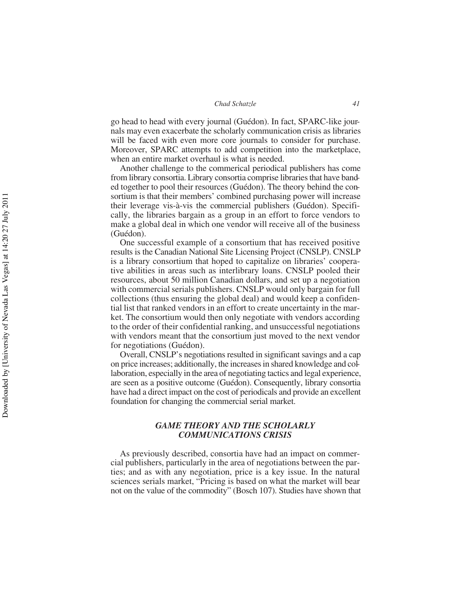go head to head with every journal (Guédon). In fact, SPARC-like journals may even exacerbate the scholarly communication crisis as libraries will be faced with even more core journals to consider for purchase. Moreover, SPARC attempts to add competition into the marketplace, when an entire market overhaul is what is needed.

Another challenge to the commerical periodical publishers has come from library consortia. Library consortia comprise libraries that have banded together to pool their resources (Guédon). The theory behind the consortium is that their members' combined purchasing power will increase their leverage vis-à-vis the commercial publishers (Guédon). Specifi cally, the libraries bargain as a group in an effort to force vendors to make a global deal in which one vendor will receive all of the business (Guédon).

One successful example of a consortium that has received positive results is the Canadian National Site Licensing Project (CNSLP). CNSLP is a library consortium that hoped to capitalize on libraries' cooperative abilities in areas such as interlibrary loans. CNSLP pooled their resources, about 50 million Canadian dollars, and set up a negotiation with commercial serials publishers. CNSLP would only bargain for full collections (thus ensuring the global deal) and would keep a confidential list that ranked vendors in an effort to create uncertainty in the market. The consortium would then only negotiate with vendors according to the order of their confidential ranking, and unsuccessful negotiations with vendors meant that the consortium just moved to the next vendor for negotiations (Guédon).

Overall, CNSLP's negotiations resulted in significant savings and a cap on price increases; additionally, the increases in shared knowledge and collaboration, especially in the area of negotiating tactics and legal experience, are seen as a positive outcome (Guédon). Consequently, library consortia have had a direct impact on the cost of periodicals and provide an excellent foundation for changing the commercial serial market.

# *GAME THEORY AND THE SCHOLARLY COMMUNICATIONS CRISIS*

As previously described, consortia have had an impact on commer cial publishers, particularly in the area of negotiations between the par ties; and as with any negotiation, price is a key issue. In the natural sciences serials market, "Pricing is based on what the market will bear not on the value of the commodity" (Bosch 107). Studies have shown that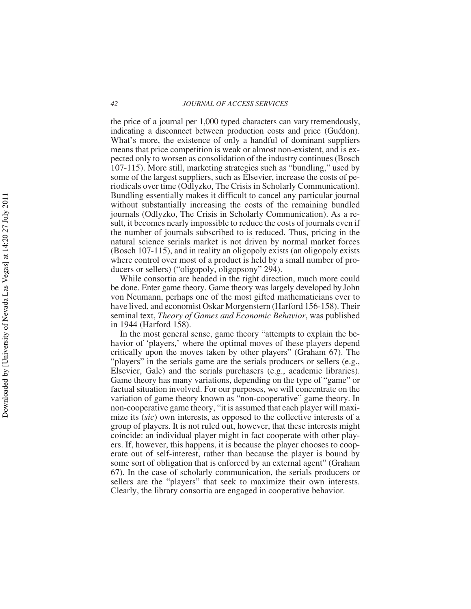the price of a journal per 1,000 typed characters can vary tremendously, indicating a disconnect between production costs and price (Guédon). What's more, the existence of only a handful of dominant suppliers means that price competition is weak or almost non-existent, and is ex pected only to worsen as consolidation of the industry continues (Bosch 107-115). More still, marketing strategies such as "bundling," used by some of the largest suppliers, such as Elsevier, increase the costs of pe riodicals over time (Odlyzko, The Crisis in Scholarly Communication). Bundling essentially makes it difficult to cancel any particular journal without substantially increasing the costs of the remaining bundled journals (Odlyzko, The Crisis in Scholarly Communication). As a result, it becomes nearly impossible to reduce the costs of journals even if the number of journals subscribed to is reduced. Thus, pricing in the natural science serials market is not driven by normal market forces (Bosch 107-115), and in reality an oligopoly exists (an oligopoly exists where control over most of a product is held by a small number of producers or sellers) ("oligopoly, oligopsony" 294).

While consortia are headed in the right direction, much more could be done. Enter game theory. Game theory was largely developed by John von Neumann, perhaps one of the most gifted mathematicians ever to have lived, and economist Oskar Morgenstern (Harford 156-158). Their seminal text, *Theory of Games and Economic Behavior*, was published in 1944 (Harford 158).

In the most general sense, game theory "attempts to explain the behavior of 'players,' where the optimal moves of these players depend critically upon the moves taken by other players" (Graham 67). The "players" in the serials game are the serials producers or sellers (e.g., Elsevier, Gale) and the serials purchasers (e.g., academic libraries). Game theory has many variations, depending on the type of "game" or factual situation involved. For our purposes, we will concentrate on the variation of game theory known as "non-cooperative" game theory. In non-cooperative game theory, "it is assumed that each player will maxi mize its (*sic*) own interests, as opposed to the collective interests of a group of players. It is not ruled out, however, that these interests might coincide: an individual player might in fact cooperate with other play ers. If, however, this happens, it is because the player chooses to cooperate out of self-interest, rather than because the player is bound by some sort of obligation that is enforced by an external agent" (Graham 67). In the case of scholarly communication, the serials producers or sellers are the "players" that seek to maximize their own interests. Clearly, the library consortia are engaged in cooperative behavior.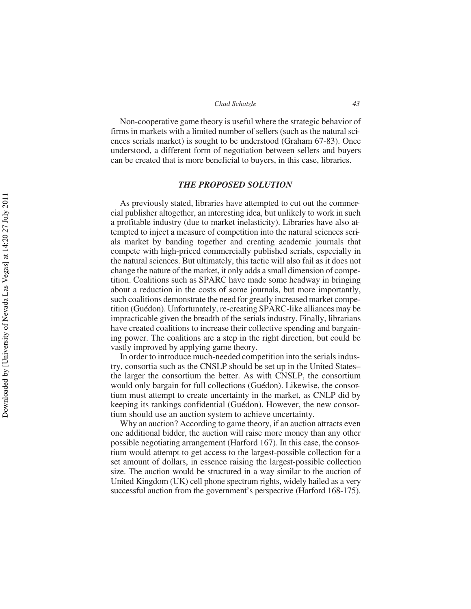Non-cooperative game theory is useful where the strategic behavior of firms in markets with a limited number of sellers (such as the natural sciences serials market) is sought to be understood (Graham 67-83). Once understood, a different form of negotiation between sellers and buyers can be created that is more beneficial to buyers, in this case, libraries.

## *THE PROPOSED SOLUTION*

As previously stated, libraries have attempted to cut out the commercial publisher altogether, an interesting idea, but unlikely to work in such a profitable industry (due to market inelasticity). Libraries have also attempted to inject a measure of competition into the natural sciences serials market by banding together and creating academic journals that compete with high-priced commercially published serials, especially in the natural sciences. But ultimately, this tactic will also fail as it does not change the nature of the market, it only adds a small dimension of competition. Coalitions such as SPARC have made some headway in bringing about a reduction in the costs of some journals, but more importantly, such coalitions demonstrate the need for greatly increased market competition (Guédon). Unfortunately, re-creating SPARC-like alliances may be impracticable given the breadth of the serials industry. Finally, librarians have created coalitions to increase their collective spending and bargaining power. The coalitions are a step in the right direction, but could be vastly improved by applying game theory.

In order to introduce much-needed competition into the serials industry, consortia such as the CNSLP should be set up in the United States– the larger the consortium the better. As with CNSLP, the consortium would only bargain for full collections (Guédon). Likewise, the consortium must attempt to create uncertainty in the market, as CNLP did by keeping its rankings confidential (Guédon). However, the new consortium should use an auction system to achieve uncertainty.

Why an auction? According to game theory, if an auction attracts even one additional bidder, the auction will raise more money than any other possible negotiating arrangement (Harford 167). In this case, the consortium would attempt to get access to the largest-possible collection for a set amount of dollars, in essence raising the largest-possible collection size. The auction would be structured in a way similar to the auction of United Kingdom (UK) cell phone spectrum rights, widely hailed as a very successful auction from the government's perspective (Harford 168-175).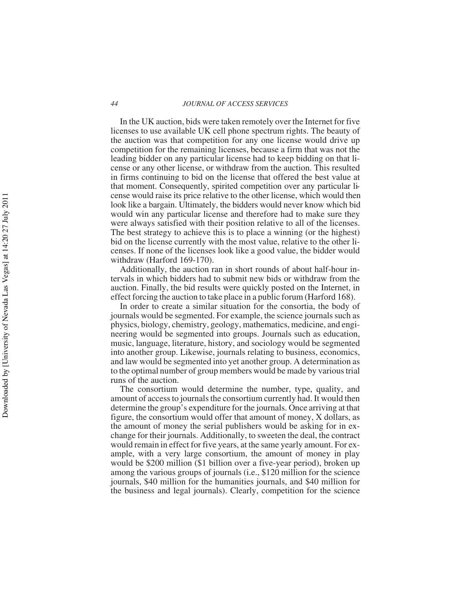#### *44 JOURNAL OF ACCESS SERVICES*

In the UK auction, bids were taken remotely over the Internet for five licenses to use available UK cell phone spectrum rights. The beauty of the auction was that competition for any one license would drive up competition for the remaining licenses, because a firm that was not the leading bidder on any particular license had to keep bidding on that li cense or any other license, or withdraw from the auction. This resulted in firms continuing to bid on the license that offered the best value at that moment. Consequently, spirited competition over any particular license would raise its price relative to the other license, which would then look like a bargain. Ultimately, the bidders would never know which bid would win any particular license and therefore had to make sure they were always satisfied with their position relative to all of the licenses. The best strategy to achieve this is to place a winning (or the highest) bid on the license currently with the most value, relative to the other li censes. If none of the licenses look like a good value, the bidder would withdraw (Harford 169-170).

Additionally, the auction ran in short rounds of about half-hour intervals in which bidders had to submit new bids or withdraw from the auction. Finally, the bid results were quickly posted on the Internet, in effect forcing the auction to take place in a public forum (Harford 168).

In order to create a similar situation for the consortia, the body of journals would be segmented. For example, the science journals such as physics, biology, chemistry, geology, mathematics, medicine, and engineering would be segmented into groups. Journals such as education, music, language, literature, history, and sociology would be segmented into another group. Likewise, journals relating to business, economics, and law would be segmented into yet another group. A determination as to the optimal number of group members would be made by various trial runs of the auction.

The consortium would determine the number, type, quality, and amount of access to journals the consortium currently had. It would then determine the group's expenditure for the journals. Once arriving at that figure, the consortium would offer that amount of money, X dollars, as the amount of money the serial publishers would be asking for in ex change for their journals. Additionally, to sweeten the deal, the contract would remain in effect for five years, at the same yearly amount. For ex ample, with a very large consortium, the amount of money in play would be \$200 million (\$1 billion over a five-year period), broken up among the various groups of journals (i.e., \$120 million for the science journals, \$40 million for the humanities journals, and \$40 million for the business and legal journals). Clearly, competition for the science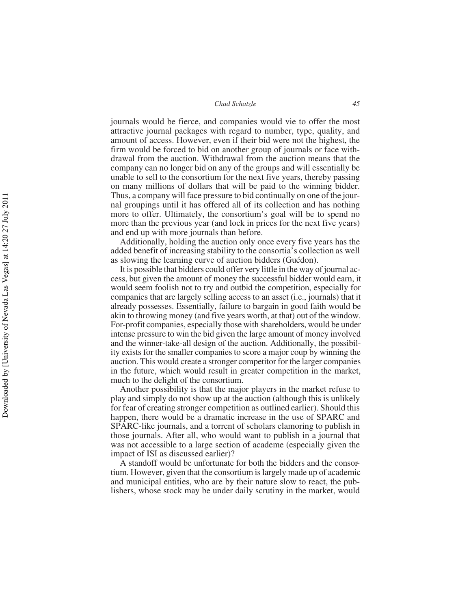journals would be fierce, and companies would vie to offer the most attractive journal packages with regard to number, type, quality, and amount of access. However, even if their bid were not the highest, the firm would be forced to bid on another group of journals or face with drawal from the auction. Withdrawal from the auction means that the company can no longer bid on any of the groups and will essentially be unable to sell to the consortium for the next five years, thereby passing on many millions of dollars that will be paid to the winning bidder. Thus, a company will face pressure to bid continually on one of the jour nal groupings until it has offered all of its collection and has nothing more to offer. Ultimately, the consortium's goal will be to spend no more than the previous year (and lock in prices for the next five years) and end up with more journals than before.

Additionally, holding the auction only once every five years has the added benefit of increasing stability to the consortia's collection as well as slowing the learning curve of auction bidders (Guédon).

It is possible that bidders could offer very little in the way of journal access, but given the amount of money the successful bidder would earn, it would seem foolish not to try and outbid the competition, especially for companies that are largely selling access to an asset (i.e., journals) that it already possesses. Essentially, failure to bargain in good faith would be akin to throwing money (and five years worth, at that) out of the window. For-profit companies, especially those with shareholders, would be under intense pressure to win the bid given the large amount of money involved and the winner-take-all design of the auction. Additionally, the possibility exists for the smaller companies to score a major coup by winning the auction. This would create a stronger competitor for the larger companies in the future, which would result in greater competition in the market, much to the delight of the consortium.

Another possibility is that the major players in the market refuse to play and simply do not show up at the auction (although this is unlikely for fear of creating stronger competition as outlined earlier). Should this happen, there would be a dramatic increase in the use of SPARC and SPARC-like journals, and a torrent of scholars clamoring to publish in those journals. After all, who would want to publish in a journal that was not accessible to a large section of academe (especially given the impact of ISI as discussed earlier)?

A standoff would be unfortunate for both the bidders and the consortium. However, given that the consortium is largely made up of academic and municipal entities, who are by their nature slow to react, the pub lishers, whose stock may be under daily scrutiny in the market, would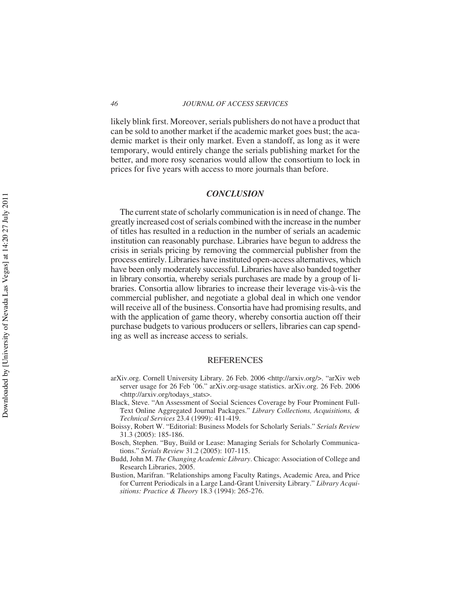#### *46 JOURNAL OF ACCESS SERVICES*

likely blink first. Moreover, serials publishers do not have a product that can be sold to another market if the academic market goes bust; the aca demic market is their only market. Even a standoff, as long as it were temporary, would entirely change the serials publishing market for the better, and more rosy scenarios would allow the consortium to lock in prices for five years with access to more journals than before.

## *CONCLUSION*

The current state of scholarly communication is in need of change. The greatly increased cost of serials combined with the increase in the number of titles has resulted in a reduction in the number of serials an academic institution can reasonably purchase. Libraries have begun to address the crisis in serials pricing by removing the commercial publisher from the process entirely. Libraries have instituted open-access alternatives, which have been only moderately successful. Libraries have also banded together in library consortia, whereby serials purchases are made by a group of libraries. Consortia allow libraries to increase their leverage vis-à-vis the commercial publisher, and negotiate a global deal in which one vendor will receive all of the business. Consortia have had promising results, and with the application of game theory, whereby consortia auction off their purchase budgets to various producers or sellers, libraries can cap spending as well as increase access to serials.

### REFERENCES

- arXiv.org. Cornell University Library. 26 Feb. 2006 <http://arxiv.org/>. "arXiv web server usage for 26 Feb '06." arXiv.org-usage statistics. arXiv.org. 26 Feb. 2006 <http://arxiv.org/todays\_stats>.
- Black, Steve. "An Assessment of Social Sciences Coverage by Four Prominent Full-Text Online Aggregated Journal Packages." *Library Collections, Acquisitions, & Technical Services* 23.4 (1999): 411-419.
- Boissy, Robert W. "Editorial: Business Models for Scholarly Serials." *Serials Review* 31.3 (2005): 185-186.
- Bosch, Stephen. "Buy, Build or Lease: Managing Serials for Scholarly Communica tions." *Serials Review* 31.2 (2005): 107-115.
- Budd, John M. *The Changing Academic Library*. Chicago: Association of College and Research Libraries, 2005.
- Bustion, Marifran. "Relationships among Faculty Ratings, Academic Area, and Price for Current Periodicals in a Large Land-Grant University Library." *Library Acqui sitions: Practice & Theory* 18.3 (1994): 265-276.